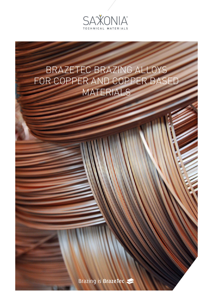